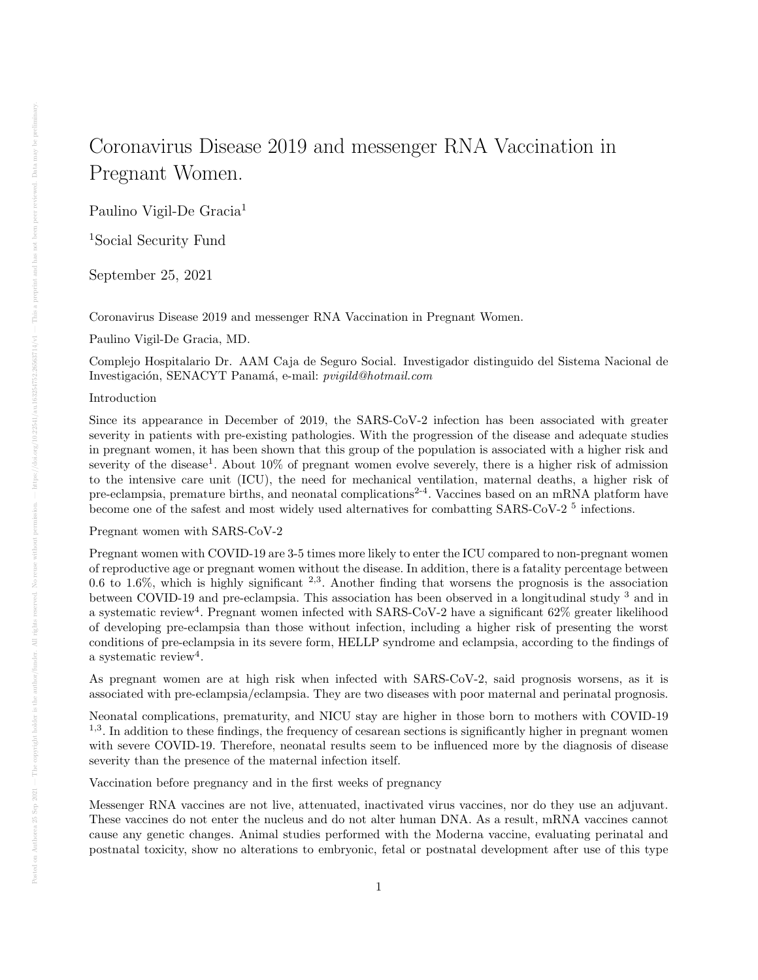# Coronavirus Disease 2019 and messenger RNA Vaccination in Pregnant Women.

Paulino Vigil-De Gracia<sup>1</sup>

<sup>1</sup>Social Security Fund

September 25, 2021

Coronavirus Disease 2019 and messenger RNA Vaccination in Pregnant Women.

Paulino Vigil-De Gracia, MD.

Complejo Hospitalario Dr. AAM Caja de Seguro Social. Investigador distinguido del Sistema Nacional de Investigación, SENACYT Panamá, e-mail: *pvigild@hotmail.com* 

## Introduction

Since its appearance in December of 2019, the SARS-CoV-2 infection has been associated with greater severity in patients with pre-existing pathologies. With the progression of the disease and adequate studies in pregnant women, it has been shown that this group of the population is associated with a higher risk and severity of the disease<sup>1</sup>. About 10% of pregnant women evolve severely, there is a higher risk of admission to the intensive care unit (ICU), the need for mechanical ventilation, maternal deaths, a higher risk of pre-eclampsia, premature births, and neonatal complications<sup>2-4</sup>. Vaccines based on an mRNA platform have become one of the safest and most widely used alternatives for combatting SARS-CoV-2<sup>5</sup> infections.

## Pregnant women with SARS-CoV-2

Pregnant women with COVID-19 are 3-5 times more likely to enter the ICU compared to non-pregnant women of reproductive age or pregnant women without the disease. In addition, there is a fatality percentage between 0.6 to 1.6%, which is highly significant  $2,3$ . Another finding that worsens the prognosis is the association between COVID-19 and pre-eclampsia. This association has been observed in a longitudinal study <sup>3</sup> and in a systematic review<sup>4</sup>. Pregnant women infected with SARS-CoV-2 have a significant  $62\%$  greater likelihood of developing pre-eclampsia than those without infection, including a higher risk of presenting the worst conditions of pre-eclampsia in its severe form, HELLP syndrome and eclampsia, according to the findings of a systematic review<sup>4</sup>.

As pregnant women are at high risk when infected with SARS-CoV-2, said prognosis worsens, as it is associated with pre-eclampsia/eclampsia. They are two diseases with poor maternal and perinatal prognosis.

Neonatal complications, prematurity, and NICU stay are higher in those born to mothers with COVID-19 <sup>1,3</sup>. In addition to these findings, the frequency of cesarean sections is significantly higher in pregnant women with severe COVID-19. Therefore, neonatal results seem to be influenced more by the diagnosis of disease severity than the presence of the maternal infection itself.

Vaccination before pregnancy and in the first weeks of pregnancy

Messenger RNA vaccines are not live, attenuated, inactivated virus vaccines, nor do they use an adjuvant. These vaccines do not enter the nucleus and do not alter human DNA. As a result, mRNA vaccines cannot cause any genetic changes. Animal studies performed with the Moderna vaccine, evaluating perinatal and postnatal toxicity, show no alterations to embryonic, fetal or postnatal development after use of this type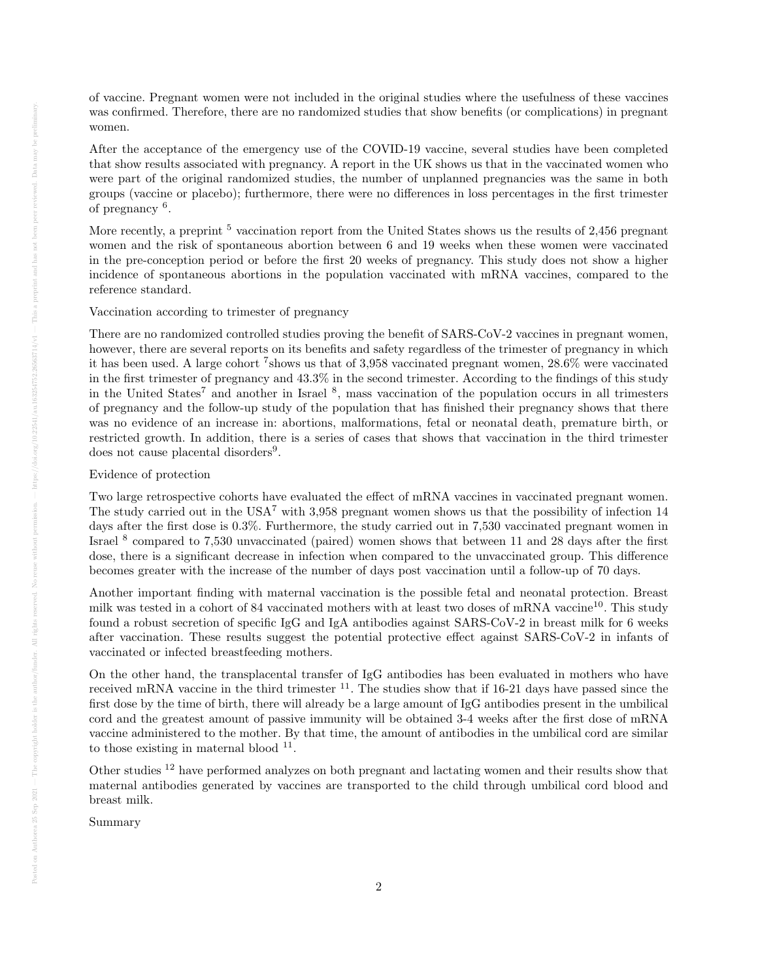of vaccine. Pregnant women were not included in the original studies where the usefulness of these vaccines was confirmed. Therefore, there are no randomized studies that show benefits (or complications) in pregnant women.

After the acceptance of the emergency use of the COVID-19 vaccine, several studies have been completed that show results associated with pregnancy. A report in the UK shows us that in the vaccinated women who were part of the original randomized studies, the number of unplanned pregnancies was the same in both groups (vaccine or placebo); furthermore, there were no differences in loss percentages in the first trimester of pregnancy <sup>6</sup>.

More recently, a preprint <sup>5</sup> vaccination report from the United States shows us the results of 2,456 pregnant women and the risk of spontaneous abortion between 6 and 19 weeks when these women were vaccinated in the pre-conception period or before the first 20 weeks of pregnancy. This study does not show a higher incidence of spontaneous abortions in the population vaccinated with mRNA vaccines, compared to the reference standard.

Vaccination according to trimester of pregnancy

There are no randomized controlled studies proving the benefit of SARS-CoV-2 vaccines in pregnant women, however, there are several reports on its benefits and safety regardless of the trimester of pregnancy in which it has been used. A large cohort <sup>7</sup> shows us that of 3,958 vaccinated pregnant women, 28.6% were vaccinated in the first trimester of pregnancy and 43.3% in the second trimester. According to the findings of this study in the United States<sup>7</sup> and another in Israel <sup>8</sup>, mass vaccination of the population occurs in all trimesters of pregnancy and the follow-up study of the population that has finished their pregnancy shows that there was no evidence of an increase in: abortions, malformations, fetal or neonatal death, premature birth, or restricted growth. In addition, there is a series of cases that shows that vaccination in the third trimester does not cause placental disorders<sup>9</sup>.

## Evidence of protection

Two large retrospective cohorts have evaluated the effect of mRNA vaccines in vaccinated pregnant women. The study carried out in the USA<sup>7</sup> with 3,958 pregnant women shows us that the possibility of infection 14 days after the first dose is 0.3%. Furthermore, the study carried out in 7,530 vaccinated pregnant women in Israel <sup>8</sup> compared to 7,530 unvaccinated (paired) women shows that between 11 and 28 days after the first dose, there is a significant decrease in infection when compared to the unvaccinated group. This difference becomes greater with the increase of the number of days post vaccination until a follow-up of 70 days.

Another important finding with maternal vaccination is the possible fetal and neonatal protection. Breast milk was tested in a cohort of 84 vaccinated mothers with at least two doses of mRNA vaccine<sup>10</sup>. This study found a robust secretion of specific IgG and IgA antibodies against SARS-CoV-2 in breast milk for 6 weeks after vaccination. These results suggest the potential protective effect against SARS-CoV-2 in infants of vaccinated or infected breastfeeding mothers.

On the other hand, the transplacental transfer of IgG antibodies has been evaluated in mothers who have received mRNA vaccine in the third trimester <sup>11</sup>. The studies show that if 16-21 days have passed since the first dose by the time of birth, there will already be a large amount of IgG antibodies present in the umbilical cord and the greatest amount of passive immunity will be obtained 3-4 weeks after the first dose of mRNA vaccine administered to the mother. By that time, the amount of antibodies in the umbilical cord are similar to those existing in maternal blood  $11$ .

Other studies <sup>12</sup> have performed analyzes on both pregnant and lactating women and their results show that maternal antibodies generated by vaccines are transported to the child through umbilical cord blood and breast milk.

Summary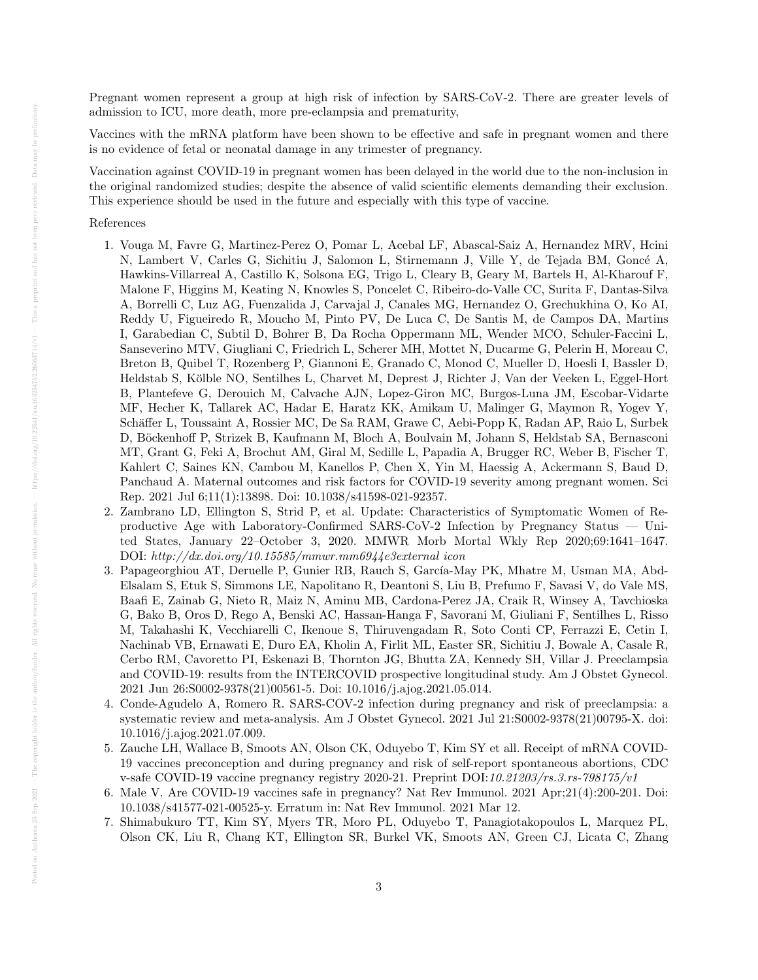Pregnant women represent a group at high risk of infection by SARS-CoV-2. There are greater levels of admission to ICU, more death, more pre-eclampsia and prematurity,

Vaccines with the mRNA platform have been shown to be effective and safe in pregnant women and there is no evidence of fetal or neonatal damage in any trimester of pregnancy.

Vaccination against COVID-19 in pregnant women has been delayed in the world due to the non-inclusion in the original randomized studies; despite the absence of valid scientific elements demanding their exclusion. This experience should be used in the future and especially with this type of vaccine.

### References

- 1. Vouga M, Favre G, Martinez-Perez O, Pomar L, Acebal LF, Abascal-Saiz A, Hernandez MRV, Hcini N, Lambert V, Carles G, Sichitiu J, Salomon L, Stirnemann J, Ville Y, de Tejada BM, Goncé A, Hawkins-Villarreal A, Castillo K, Solsona EG, Trigo L, Cleary B, Geary M, Bartels H, Al-Kharouf F, Malone F, Higgins M, Keating N, Knowles S, Poncelet C, Ribeiro-do-Valle CC, Surita F, Dantas-Silva A, Borrelli C, Luz AG, Fuenzalida J, Carvajal J, Canales MG, Hernandez O, Grechukhina O, Ko AI, Reddy U, Figueiredo R, Moucho M, Pinto PV, De Luca C, De Santis M, de Campos DA, Martins I, Garabedian C, Subtil D, Bohrer B, Da Rocha Oppermann ML, Wender MCO, Schuler-Faccini L, Sanseverino MTV, Giugliani C, Friedrich L, Scherer MH, Mottet N, Ducarme G, Pelerin H, Moreau C, Breton B, Quibel T, Rozenberg P, Giannoni E, Granado C, Monod C, Mueller D, Hoesli I, Bassler D, Heldstab S, Kölble NO, Sentilhes L, Charvet M, Deprest J, Richter J, Van der Veeken L, Eggel-Hort B, Plantefeve G, Derouich M, Calvache AJN, Lopez-Giron MC, Burgos-Luna JM, Escobar-Vidarte MF, Hecher K, Tallarek AC, Hadar E, Haratz KK, Amikam U, Malinger G, Maymon R, Yogev Y, Schäffer L, Toussaint A, Rossier MC, De Sa RAM, Grawe C, Aebi-Popp K, Radan AP, Raio L, Surbek D, Böckenhoff P, Strizek B, Kaufmann M, Bloch A, Boulvain M, Johann S, Heldstab SA, Bernasconi MT, Grant G, Feki A, Brochut AM, Giral M, Sedille L, Papadia A, Brugger RC, Weber B, Fischer T, Kahlert C, Saines KN, Cambou M, Kanellos P, Chen X, Yin M, Haessig A, Ackermann S, Baud D, Panchaud A. Maternal outcomes and risk factors for COVID-19 severity among pregnant women. Sci Rep. 2021 Jul 6;11(1):13898. Doi: 10.1038/s41598-021-92357.
- 2. Zambrano LD, Ellington S, Strid P, et al. Update: Characteristics of Symptomatic Women of Reproductive Age with Laboratory-Confirmed SARS-CoV-2 Infection by Pregnancy Status — United States, January 22–October 3, 2020. MMWR Morb Mortal Wkly Rep 2020;69:1641–1647. DOI: http://dx.doi.org/10.15585/mmwr.mm6944e3external icon
- 3. Papageorghiou AT, Deruelle P, Gunier RB, Rauch S, García-May PK, Mhatre M, Usman MA, Abd-Elsalam S, Etuk S, Simmons LE, Napolitano R, Deantoni S, Liu B, Prefumo F, Savasi V, do Vale MS, Baafi E, Zainab G, Nieto R, Maiz N, Aminu MB, Cardona-Perez JA, Craik R, Winsey A, Tavchioska G, Bako B, Oros D, Rego A, Benski AC, Hassan-Hanga F, Savorani M, Giuliani F, Sentilhes L, Risso M, Takahashi K, Vecchiarelli C, Ikenoue S, Thiruvengadam R, Soto Conti CP, Ferrazzi E, Cetin I, Nachinab VB, Ernawati E, Duro EA, Kholin A, Firlit ML, Easter SR, Sichitiu J, Bowale A, Casale R, Cerbo RM, Cavoretto PI, Eskenazi B, Thornton JG, Bhutta ZA, Kennedy SH, Villar J. Preeclampsia and COVID-19: results from the INTERCOVID prospective longitudinal study. Am J Obstet Gynecol. 2021 Jun 26:S0002-9378(21)00561-5. Doi: 10.1016/j.ajog.2021.05.014.
- 4. Conde-Agudelo A, Romero R. SARS-COV-2 infection during pregnancy and risk of preeclampsia: a systematic review and meta-analysis. Am J Obstet Gynecol. 2021 Jul 21:S0002-9378(21)00795-X. doi: 10.1016/j.ajog.2021.07.009.
- 5. Zauche LH, Wallace B, Smoots AN, Olson CK, Oduyebo T, Kim SY et all. Receipt of mRNA COVID-19 vaccines preconception and during pregnancy and risk of self-report spontaneous abortions, CDC v-safe COVID-19 vaccine pregnancy registry 2020-21. Preprint DOI:10.21203/rs.3.rs-798175/v1
- 6. Male V. Are COVID-19 vaccines safe in pregnancy? Nat Rev Immunol. 2021 Apr;21(4):200-201. Doi: 10.1038/s41577-021-00525-y. Erratum in: Nat Rev Immunol. 2021 Mar 12.
- 7. Shimabukuro TT, Kim SY, Myers TR, Moro PL, Oduyebo T, Panagiotakopoulos L, Marquez PL, Olson CK, Liu R, Chang KT, Ellington SR, Burkel VK, Smoots AN, Green CJ, Licata C, Zhang